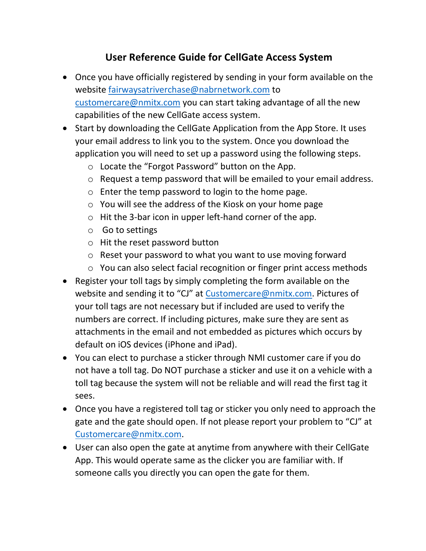## **User Reference Guide for CellGate Access System**

- Once you have officially registered by sending in your form available on the website [fairwaysatriverchase@nabrnetwork.com](mailto:fairwaysatriverchase@nabrnetwork.com) to [customercare@nmitx.com](mailto:customercare@nmitx.com) you can start taking advantage of all the new capabilities of the new CellGate access system.
- Start by downloading the CellGate Application from the App Store. It uses your email address to link you to the system. Once you download the application you will need to set up a password using the following steps.
	- o Locate the "Forgot Password" button on the App.
	- o Request a temp password that will be emailed to your email address.
	- o Enter the temp password to login to the home page.
	- o You will see the address of the Kiosk on your home page
	- o Hit the 3-bar icon in upper left-hand corner of the app.
	- o Go to settings
	- o Hit the reset password button
	- o Reset your password to what you want to use moving forward
	- o You can also select facial recognition or finger print access methods
- Register your toll tags by simply completing the form available on the website and sending it to "CJ" at [Customercare@nmitx.com.](mailto:Customercare@nmitx.com) Pictures of your toll tags are not necessary but if included are used to verify the numbers are correct. If including pictures, make sure they are sent as attachments in the email and not embedded as pictures which occurs by default on iOS devices (iPhone and iPad).
- You can elect to purchase a sticker through NMI customer care if you do not have a toll tag. Do NOT purchase a sticker and use it on a vehicle with a toll tag because the system will not be reliable and will read the first tag it sees.
- Once you have a registered toll tag or sticker you only need to approach the gate and the gate should open. If not please report your problem to "CJ" at [Customercare@nmitx.com.](mailto:Customercare@nmitx.com)
- User can also open the gate at anytime from anywhere with their CellGate App. This would operate same as the clicker you are familiar with. If someone calls you directly you can open the gate for them.